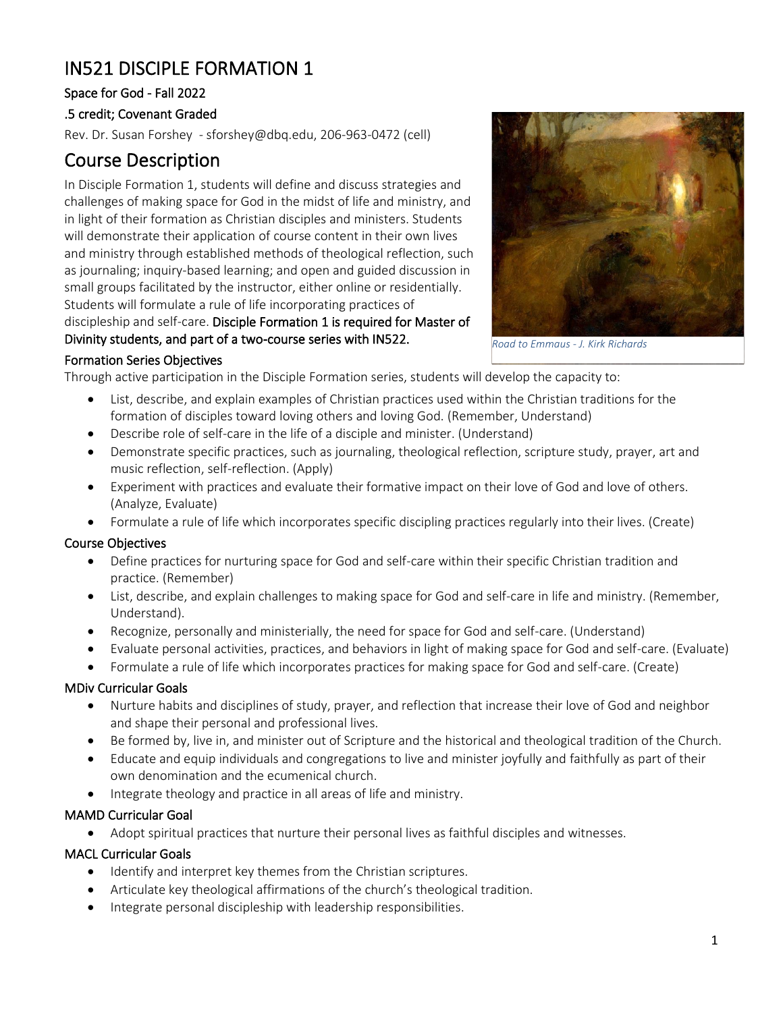# IN521 DISCIPLE FORMATION 1

## Space for God - Fall 2022

### .5 credit; Covenant Graded

Rev. Dr. Susan Forshey - [sforshey@dbq.edu,](mailto:sforshey@dbq.edu) 206-963-0472 (cell)

## Course Description

In Disciple Formation 1, students will define and discuss strategies and challenges of making space for God in the midst of life and ministry, and in light of their formation as Christian disciples and ministers. Students will demonstrate their application of course content in their own lives and ministry through established methods of theological reflection, such as journaling; inquiry-based learning; and open and guided discussion in small groups facilitated by the instructor, either online or residentially. Students will formulate a rule of life incorporating practices of discipleship and self-care. Disciple Formation 1 is required for Master of Divinity students, and part of a two-course series with IN522.



*Road to Emmaus - J. Kirk Richards* 

#### Formation Series Objectives

Through active participation in the Disciple Formation series, students will develop the capacity to:

- List, describe, and explain examples of Christian practices used within the Christian traditions for the formation of disciples toward loving others and loving God. (Remember, Understand)
- Describe role of self-care in the life of a disciple and minister. (Understand)
- Demonstrate specific practices, such as journaling, theological reflection, scripture study, prayer, art and music reflection, self-reflection. (Apply)
- Experiment with practices and evaluate their formative impact on their love of God and love of others. (Analyze, Evaluate)
- Formulate a rule of life which incorporates specific discipling practices regularly into their lives. (Create)

#### Course Objectives

- Define practices for nurturing space for God and self-care within their specific Christian tradition and practice. (Remember)
- List, describe, and explain challenges to making space for God and self-care in life and ministry. (Remember, Understand).
- Recognize, personally and ministerially, the need for space for God and self-care. (Understand)
- Evaluate personal activities, practices, and behaviors in light of making space for God and self-care. (Evaluate)
- Formulate a rule of life which incorporates practices for making space for God and self-care. (Create)

#### MDiv Curricular Goals

- Nurture habits and disciplines of study, prayer, and reflection that increase their love of God and neighbor and shape their personal and professional lives.
- Be formed by, live in, and minister out of Scripture and the historical and theological tradition of the Church.
- Educate and equip individuals and congregations to live and minister joyfully and faithfully as part of their own denomination and the ecumenical church.
- Integrate theology and practice in all areas of life and ministry.

## MAMD Curricular Goal

• Adopt spiritual practices that nurture their personal lives as faithful disciples and witnesses.

#### MACL Curricular Goals

- Identify and interpret key themes from the Christian scriptures.
- Articulate key theological affirmations of the church's theological tradition.
- Integrate personal discipleship with leadership responsibilities.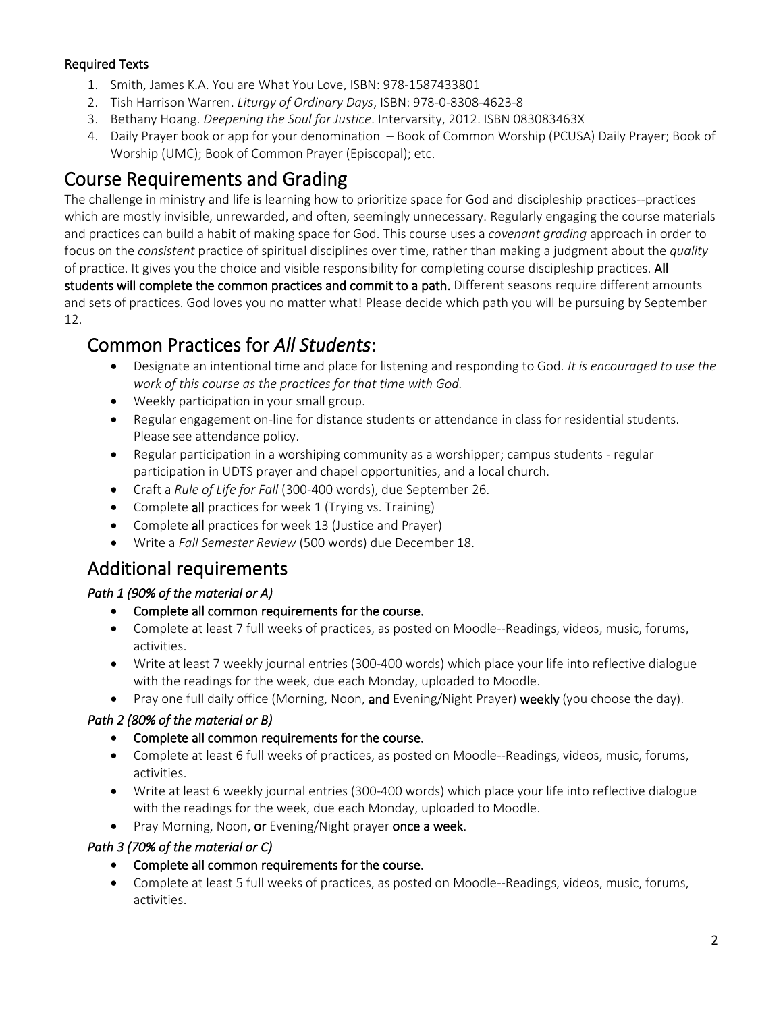## Required Texts

- 1. Smith, James K.A. You are What You Love, ISBN: 978-1587433801
- 2. Tish Harrison Warren. *Liturgy of Ordinary Days*, ISBN: 978-0-8308-4623-8
- 3. Bethany Hoang. *Deepening the Soul for Justice*. Intervarsity, 2012. ISBN 083083463X
- 4. Daily Prayer book or app for your denomination Book of Common Worship (PCUSA) Daily Prayer; Book of Worship (UMC); Book of Common Prayer (Episcopal); etc.

## Course Requirements and Grading

The challenge in ministry and life is learning how to prioritize space for God and discipleship practices--practices which are mostly invisible, unrewarded, and often, seemingly unnecessary. Regularly engaging the course materials and practices can build a habit of making space for God. This course uses a *covenant grading* approach in order to focus on the *consistent* practice of spiritual disciplines over time, rather than making a judgment about the *quality* of practice. It gives you the choice and visible responsibility for completing course discipleship practices. All students will complete the common practices and commit to a path. Different seasons require different amounts and sets of practices. God loves you no matter what! Please decide which path you will be pursuing by September 12.

## Common Practices for *All Students*:

- Designate an intentional time and place for listening and responding to God. *It is encouraged to use the work of this course as the practices for that time with God.*
- Weekly participation in your small group.
- Regular engagement on-line for distance students or attendance in class for residential students. Please see attendance policy.
- Regular participation in a worshiping community as a worshipper; campus students regular participation in UDTS prayer and chapel opportunities, and a local church.
- Craft a *Rule of Life for Fall* (300-400 words), due September 26.
- Complete all practices for week 1 (Trying vs. Training)
- Complete all practices for week 13 (Justice and Prayer)
- Write a *Fall Semester Review* (500 words) due December 18.

## Additional requirements

## *Path 1 (90% of the material or A)*

- Complete all common requirements for the course.
- Complete at least 7 full weeks of practices, as posted on Moodle--Readings, videos, music, forums, activities.
- Write at least 7 weekly journal entries (300-400 words) which place your life into reflective dialogue with the readings for the week, due each Monday, uploaded to Moodle.
- Pray one full daily office (Morning, Noon, and Evening/Night Prayer) weekly (you choose the day).

## *Path 2 (80% of the material or B)*

- Complete all common requirements for the course.
- Complete at least 6 full weeks of practices, as posted on Moodle--Readings, videos, music, forums, activities.
- Write at least 6 weekly journal entries (300-400 words) which place your life into reflective dialogue with the readings for the week, due each Monday, uploaded to Moodle.
- Pray Morning, Noon, or Evening/Night prayer once a week.

## *Path 3 (70% of the material or C)*

- Complete all common requirements for the course.
- Complete at least 5 full weeks of practices, as posted on Moodle--Readings, videos, music, forums, activities.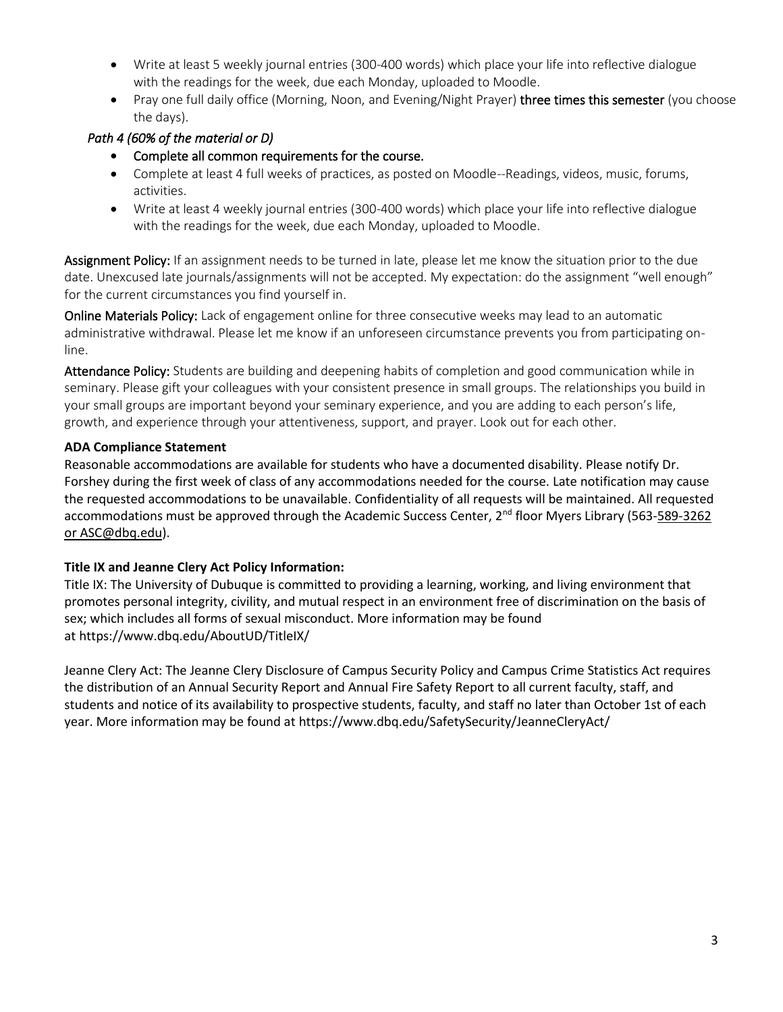- Write at least 5 weekly journal entries (300-400 words) which place your life into reflective dialogue with the readings for the week, due each Monday, uploaded to Moodle.
- Pray one full daily office (Morning, Noon, and Evening/Night Prayer) three times this semester (you choose the days).

## *Path 4 (60% of the material or D)*

- Complete all common requirements for the course.
- Complete at least 4 full weeks of practices, as posted on Moodle--Readings, videos, music, forums, activities.
- Write at least 4 weekly journal entries (300-400 words) which place your life into reflective dialogue with the readings for the week, due each Monday, uploaded to Moodle.

Assignment Policy: If an assignment needs to be turned in late, please let me know the situation prior to the due date. Unexcused late journals/assignments will not be accepted. My expectation: do the assignment "well enough" for the current circumstances you find yourself in.

Online Materials Policy: Lack of engagement online for three consecutive weeks may lead to an automatic administrative withdrawal. Please let me know if an unforeseen circumstance prevents you from participating online.

Attendance Policy: Students are building and deepening habits of completion and good communication while in seminary. Please gift your colleagues with your consistent presence in small groups. The relationships you build in your small groups are important beyond your seminary experience, and you are adding to each person's life, growth, and experience through your attentiveness, support, and prayer. Look out for each other.

### **ADA Compliance Statement**

Reasonable accommodations are available for students who have a documented disability. Please notify Dr. Forshey during the first week of class of any accommodations needed for the course. Late notification may cause the requested accommodations to be unavailable. Confidentiality of all requests will be maintained. All requested accommodations must be approved through the Academic Success Center, 2<sup>nd</sup> floor Myers Library (563-589-3262) [or ASC@dbq.edu\)](mailto:589-3262%20or%20ASC@dbq.edu).

## **Title IX and Jeanne Clery Act Policy Information:**

Title IX: The University of Dubuque is committed to providing a learning, working, and living environment that promotes personal integrity, civility, and mutual respect in an environment free of discrimination on the basis of sex; which includes all forms of sexual misconduct. More information may be found at <https://www.dbq.edu/AboutUD/TitleIX/>

Jeanne Clery Act: The Jeanne Clery Disclosure of Campus Security Policy and Campus Crime Statistics Act requires the distribution of an Annual Security Report and Annual Fire Safety Report to all current faculty, staff, and students and notice of its availability to prospective students, faculty, and staff no later than October 1st of each year. More information may be found at <https://www.dbq.edu/SafetySecurity/JeanneCleryAct/>